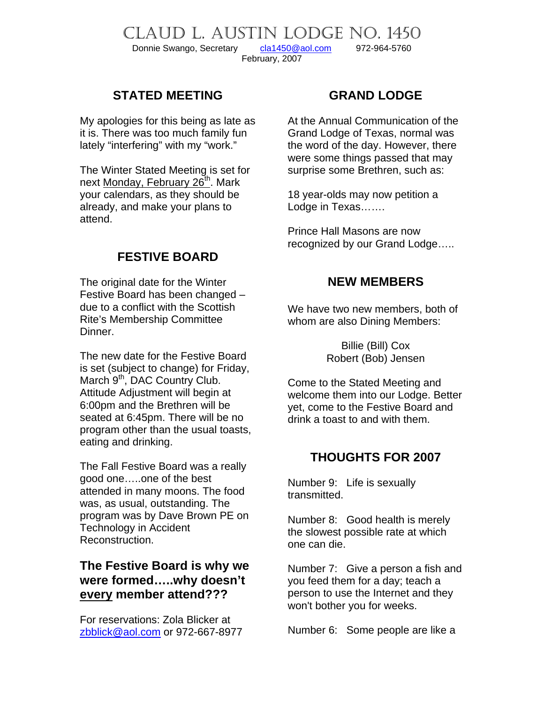CLAUD L. AUSTIN LODGE NO. 1450 Donnie Swango, Secretary [cla1450@aol.com](mailto:cla1450@aol.com) 972-964-5760 February, 2007

### **STATED MEETING**

My apologies for this being as late as it is. There was too much family fun lately "interfering" with my "work."

The Winter Stated Meeting is set for next Monday, February 26<sup>th</sup>. Mark your calendars, as they should be already, and make your plans to attend.

### **FESTIVE BOARD**

The original date for the Winter Festive Board has been changed – due to a conflict with the Scottish Rite's Membership Committee Dinner.

The new date for the Festive Board is set (subject to change) for Friday, March 9<sup>th</sup>, DAC Country Club. Attitude Adjustment will begin at 6:00pm and the Brethren will be seated at 6:45pm. There will be no program other than the usual toasts, eating and drinking.

The Fall Festive Board was a really good one…..one of the best attended in many moons. The food was, as usual, outstanding. The program was by Dave Brown PE on Technology in Accident Reconstruction.

### **The Festive Board is why we were formed…..why doesn't every member attend???**

For reservations: Zola Blicker at [zbblick@aol.com](mailto:zbblick@aol.com) or 972-667-8977

### **GRAND LODGE**

At the Annual Communication of the Grand Lodge of Texas, normal was the word of the day. However, there were some things passed that may surprise some Brethren, such as:

18 year-olds may now petition a Lodge in Texas…….

Prince Hall Masons are now recognized by our Grand Lodge…..

### **NEW MEMBERS**

We have two new members, both of whom are also Dining Members:

> Billie (Bill) Cox Robert (Bob) Jensen

Come to the Stated Meeting and welcome them into our Lodge. Better yet, come to the Festive Board and drink a toast to and with them.

### **THOUGHTS FOR 2007**

Number 9: Life is sexually transmitted.

Number 8: Good health is merely the slowest possible rate at which one can die.

Number 7: Give a person a fish and you feed them for a day; teach a person to use the Internet and they won't bother you for weeks.

Number 6: Some people are like a